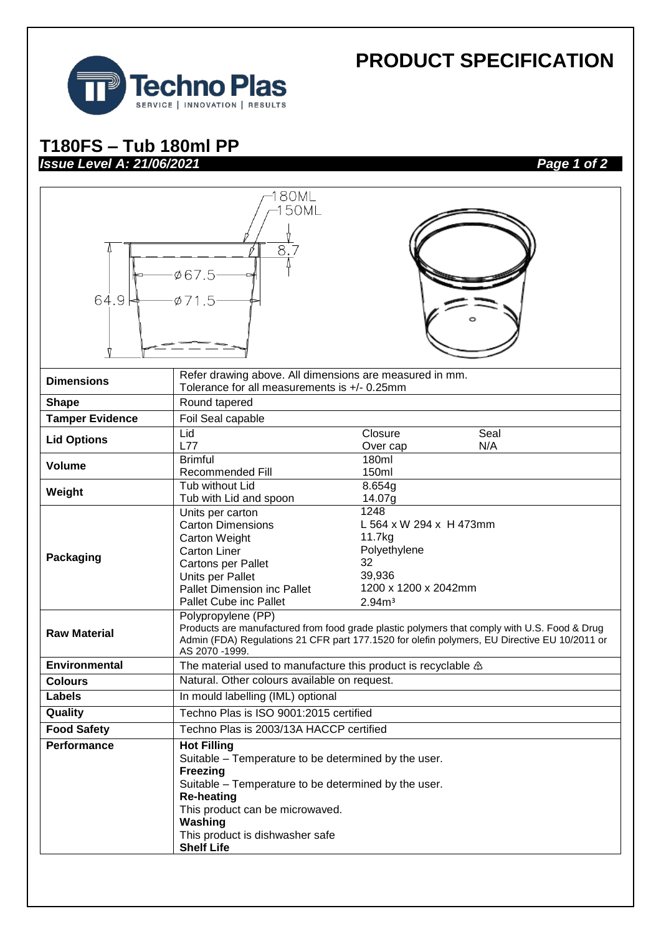

## **PRODUCT SPECIFICATION**

## **T180FS – Tub 180ml PP**  *Issue Level A: 21/06/2021 Page 1 of 2*

| 80ML<br>50ML<br>8.7<br>Ø67.5<br>64.9<br>$\varphi$ 71.5 |                                                                                                                                                                                                                                                                                  |                                                                                                                         |      |
|--------------------------------------------------------|----------------------------------------------------------------------------------------------------------------------------------------------------------------------------------------------------------------------------------------------------------------------------------|-------------------------------------------------------------------------------------------------------------------------|------|
| <b>Dimensions</b>                                      | Refer drawing above. All dimensions are measured in mm.<br>Tolerance for all measurements is +/- 0.25mm                                                                                                                                                                          |                                                                                                                         |      |
| <b>Shape</b>                                           | Round tapered                                                                                                                                                                                                                                                                    |                                                                                                                         |      |
| <b>Tamper Evidence</b>                                 | Foil Seal capable                                                                                                                                                                                                                                                                |                                                                                                                         |      |
|                                                        | Lid                                                                                                                                                                                                                                                                              | Closure                                                                                                                 | Seal |
| <b>Lid Options</b>                                     | L77                                                                                                                                                                                                                                                                              | Over cap                                                                                                                | N/A  |
| <b>Volume</b>                                          | <b>Brimful</b>                                                                                                                                                                                                                                                                   | 180ml                                                                                                                   |      |
|                                                        | Recommended Fill<br>Tub without Lid                                                                                                                                                                                                                                              | 150ml                                                                                                                   |      |
| Weight                                                 | Tub with Lid and spoon                                                                                                                                                                                                                                                           | 8.654g<br>14.07g                                                                                                        |      |
| Packaging                                              | Units per carton<br><b>Carton Dimensions</b><br>Carton Weight<br><b>Carton Liner</b><br>Cartons per Pallet<br>Units per Pallet<br>Pallet Dimension inc Pallet<br>Pallet Cube inc Pallet                                                                                          | 1248<br>L 564 x W 294 x H 473mm<br>11.7kg<br>Polyethylene<br>32<br>39,936<br>1200 x 1200 x 2042mm<br>2.94m <sup>3</sup> |      |
| <b>Raw Material</b>                                    | Polypropylene (PP)<br>Products are manufactured from food grade plastic polymers that comply with U.S. Food & Drug<br>Admin (FDA) Regulations 21 CFR part 177.1520 for olefin polymers, EU Directive EU 10/2011 or<br>AS 2070 -1999.                                             |                                                                                                                         |      |
| <b>Environmental</b>                                   | The material used to manufacture this product is recyclable $\triangle$                                                                                                                                                                                                          |                                                                                                                         |      |
| <b>Colours</b>                                         | Natural. Other colours available on request.                                                                                                                                                                                                                                     |                                                                                                                         |      |
| Labels                                                 | In mould labelling (IML) optional                                                                                                                                                                                                                                                |                                                                                                                         |      |
| Quality                                                | Techno Plas is ISO 9001:2015 certified                                                                                                                                                                                                                                           |                                                                                                                         |      |
| <b>Food Safety</b>                                     | Techno Plas is 2003/13A HACCP certified                                                                                                                                                                                                                                          |                                                                                                                         |      |
| <b>Performance</b>                                     | <b>Hot Filling</b><br>Suitable - Temperature to be determined by the user.<br><b>Freezing</b><br>Suitable - Temperature to be determined by the user.<br><b>Re-heating</b><br>This product can be microwaved.<br>Washing<br>This product is dishwasher safe<br><b>Shelf Life</b> |                                                                                                                         |      |